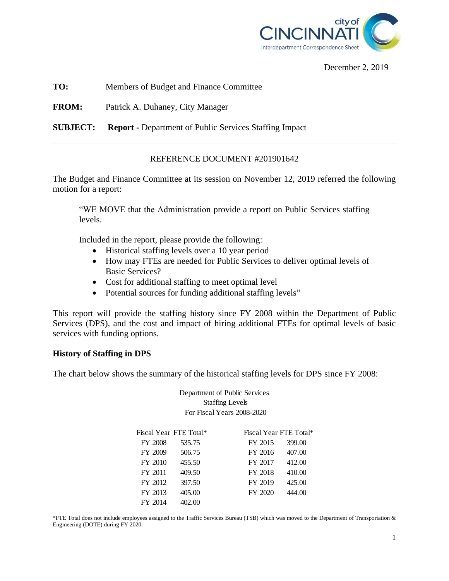

December 2, 2019

**TO:** Members of Budget and Finance Committee

**FROM:** Patrick A. Duhaney, City Manager

**SUBJECT: Report -** Department of Public Services Staffing Impact

## REFERENCE DOCUMENT #201901642

The Budget and Finance Committee at its session on November 12, 2019 referred the following motion for a report:

"WE MOVE that the Administration provide a report on Public Services staffing levels.

Included in the report, please provide the following:

- Historical staffing levels over a 10 year period
- How may FTEs are needed for Public Services to deliver optimal levels of Basic Services?
- Cost for additional staffing to meet optimal level
- Potential sources for funding additional staffing levels"

This report will provide the staffing history since FY 2008 within the Department of Public Services (DPS), and the cost and impact of hiring additional FTEs for optimal levels of basic services with funding options.

#### **History of Staffing in DPS**

The chart below shows the summary of the historical staffing levels for DPS since FY 2008:

Department of Public Services Staffing Levels For Fiscal Years 2008-2020

| Fiscal Year FTE Total* |        |                   | Fiscal Year FTE Total* |  |
|------------------------|--------|-------------------|------------------------|--|
| FY 2008                | 535.75 | 399.00<br>FY 2015 |                        |  |
| FY 2009                | 506.75 | FY 2016<br>407.00 |                        |  |
| FY 2010                | 455.50 | 412.00<br>FY 2017 |                        |  |
| FY 2011                | 409.50 | 410.00<br>FY 2018 |                        |  |
| FY 2012                | 397.50 | FY 2019<br>425.00 |                        |  |
| FY 2013                | 405.00 | FY 2020<br>444.00 |                        |  |
| FY 2014                | 402.00 |                   |                        |  |

\*FTE Total does not include employees assigned to the Traffic Services Bureau (TSB) which was moved to the Department of Transportation & Engineering (DOTE) during FY 2020.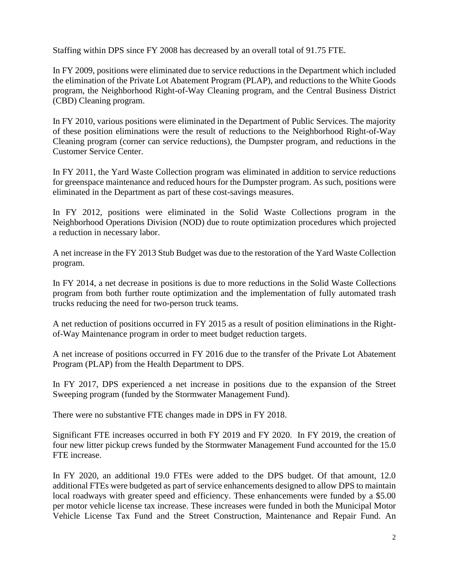Staffing within DPS since FY 2008 has decreased by an overall total of 91.75 FTE.

In FY 2009, positions were eliminated due to service reductions in the Department which included the elimination of the Private Lot Abatement Program (PLAP), and reductions to the White Goods program, the Neighborhood Right-of-Way Cleaning program, and the Central Business District (CBD) Cleaning program.

In FY 2010, various positions were eliminated in the Department of Public Services. The majority of these position eliminations were the result of reductions to the Neighborhood Right-of-Way Cleaning program (corner can service reductions), the Dumpster program, and reductions in the Customer Service Center.

In FY 2011, the Yard Waste Collection program was eliminated in addition to service reductions for greenspace maintenance and reduced hours for the Dumpster program. As such, positions were eliminated in the Department as part of these cost-savings measures.

In FY 2012, positions were eliminated in the Solid Waste Collections program in the Neighborhood Operations Division (NOD) due to route optimization procedures which projected a reduction in necessary labor.

A net increase in the FY 2013 Stub Budget was due to the restoration of the Yard Waste Collection program.

In FY 2014, a net decrease in positions is due to more reductions in the Solid Waste Collections program from both further route optimization and the implementation of fully automated trash trucks reducing the need for two-person truck teams.

A net reduction of positions occurred in FY 2015 as a result of position eliminations in the Rightof-Way Maintenance program in order to meet budget reduction targets.

A net increase of positions occurred in FY 2016 due to the transfer of the Private Lot Abatement Program (PLAP) from the Health Department to DPS.

In FY 2017, DPS experienced a net increase in positions due to the expansion of the Street Sweeping program (funded by the Stormwater Management Fund).

There were no substantive FTE changes made in DPS in FY 2018.

Significant FTE increases occurred in both FY 2019 and FY 2020. In FY 2019, the creation of four new litter pickup crews funded by the Stormwater Management Fund accounted for the 15.0 FTE increase.

In FY 2020, an additional 19.0 FTEs were added to the DPS budget. Of that amount, 12.0 additional FTEs were budgeted as part of service enhancements designed to allow DPS to maintain local roadways with greater speed and efficiency. These enhancements were funded by a \$5.00 per motor vehicle license tax increase. These increases were funded in both the Municipal Motor Vehicle License Tax Fund and the Street Construction, Maintenance and Repair Fund. An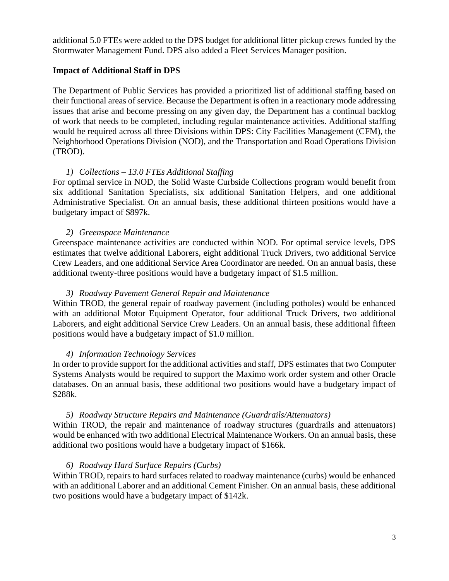additional 5.0 FTEs were added to the DPS budget for additional litter pickup crews funded by the Stormwater Management Fund. DPS also added a Fleet Services Manager position.

## **Impact of Additional Staff in DPS**

The Department of Public Services has provided a prioritized list of additional staffing based on their functional areas of service. Because the Department is often in a reactionary mode addressing issues that arise and become pressing on any given day, the Department has a continual backlog of work that needs to be completed, including regular maintenance activities. Additional staffing would be required across all three Divisions within DPS: City Facilities Management (CFM), the Neighborhood Operations Division (NOD), and the Transportation and Road Operations Division (TROD).

## *1) Collections – 13.0 FTEs Additional Staffing*

For optimal service in NOD, the Solid Waste Curbside Collections program would benefit from six additional Sanitation Specialists, six additional Sanitation Helpers, and one additional Administrative Specialist. On an annual basis, these additional thirteen positions would have a budgetary impact of \$897k.

## *2) Greenspace Maintenance*

Greenspace maintenance activities are conducted within NOD. For optimal service levels, DPS estimates that twelve additional Laborers, eight additional Truck Drivers, two additional Service Crew Leaders, and one additional Service Area Coordinator are needed. On an annual basis, these additional twenty-three positions would have a budgetary impact of \$1.5 million.

#### *3) Roadway Pavement General Repair and Maintenance*

Within TROD, the general repair of roadway pavement (including potholes) would be enhanced with an additional Motor Equipment Operator, four additional Truck Drivers, two additional Laborers, and eight additional Service Crew Leaders. On an annual basis, these additional fifteen positions would have a budgetary impact of \$1.0 million.

#### *4) Information Technology Services*

In order to provide support for the additional activities and staff, DPS estimates that two Computer Systems Analysts would be required to support the Maximo work order system and other Oracle databases. On an annual basis, these additional two positions would have a budgetary impact of \$288k.

#### *5) Roadway Structure Repairs and Maintenance (Guardrails/Attenuators)*

Within TROD, the repair and maintenance of roadway structures (guardrails and attenuators) would be enhanced with two additional Electrical Maintenance Workers. On an annual basis, these additional two positions would have a budgetary impact of \$166k.

#### *6) Roadway Hard Surface Repairs (Curbs)*

Within TROD, repairs to hard surfaces related to roadway maintenance (curbs) would be enhanced with an additional Laborer and an additional Cement Finisher. On an annual basis, these additional two positions would have a budgetary impact of \$142k.